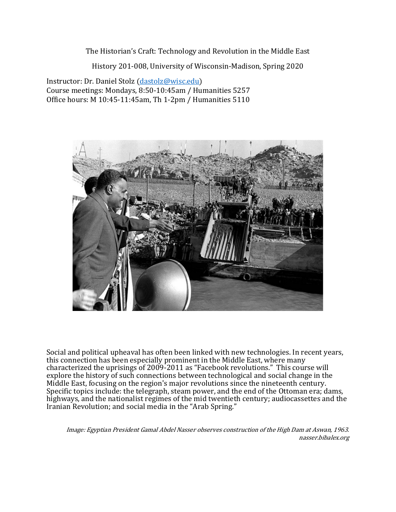The Historian's Craft: Technology and Revolution in the Middle East

History 201-008, University of Wisconsin-Madison, Spring 2020

Instructor: Dr. Daniel Stolz (dastolz@wisc.edu) Course meetings: Mondays, 8:50-10:45am / Humanities 5257 Office hours: M 10:45-11:45am, Th 1-2pm / Humanities 5110



Social and political upheaval has often been linked with new technologies. In recent years, this connection has been especially prominent in the Middle East, where many characterized the uprisings of 2009-2011 as "Facebook revolutions." This course will explore the history of such connections between technological and social change in the Middle East, focusing on the region's major revolutions since the nineteenth century. Specific topics include: the telegraph, steam power, and the end of the Ottoman era; dams, highways, and the nationalist regimes of the mid twentieth century; audiocassettes and the Iranian Revolution; and social media in the "Arab Spring."

Image: Egyptian President Gamal Abdel Nasser observes construction of the High Dam at Aswan, 1963. nasser.bibalex.org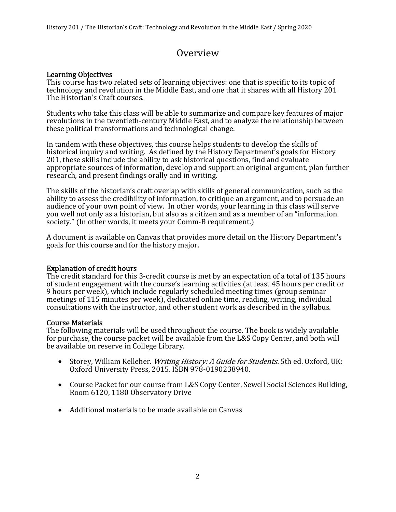# Overview

#### Learning Objectives

This course has two related sets of learning objectives: one that is specific to its topic of technology and revolution in the Middle East, and one that it shares with all History 201 The Historian's Craft courses.

Students who take this class will be able to summarize and compare key features of major revolutions in the twentieth-century Middle East, and to analyze the relationship between these political transformations and technological change.

In tandem with these objectives, this course helps students to develop the skills of historical inquiry and writing. As defined by the History Department's goals for History 201, these skills include the ability to ask historical questions, find and evaluate appropriate sources of information, develop and support an original argument, plan further research, and present findings orally and in writing.

The skills of the historian's craft overlap with skills of general communication, such as the ability to assess the credibility of information, to critique an argument, and to persuade an audience of your own point of view. In other words, your learning in this class will serve you well not only as a historian, but also as a citizen and as a member of an "information society." (In other words, it meets your Comm-B requirement.)

A document is available on Canvas that provides more detail on the History Department's goals for this course and for the history major.

#### Explanation of credit hours

The credit standard for this 3-credit course is met by an expectation of a total of 135 hours of student engagement with the course's learning activities (at least 45 hours per credit or 9 hours per week), which include regularly scheduled meeting times (group seminar meetings of 115 minutes per week), dedicated online time, reading, writing, individual consultations with the instructor, and other student work as described in the syllabus.

#### Course Materials

The following materials will be used throughout the course. The book is widely available for purchase, the course packet will be available from the L&S Copy Center, and both will be available on reserve in College Library.

- Storey, William Kelleher. *Writing History: A Guide for Students.* 5th ed. Oxford, UK: Oxford University Press, 2015. ISBN 978-0190238940.
- Course Packet for our course from L&S Copy Center, Sewell Social Sciences Building, Room 6120, 1180 Observatory Drive
- Additional materials to be made available on Canvas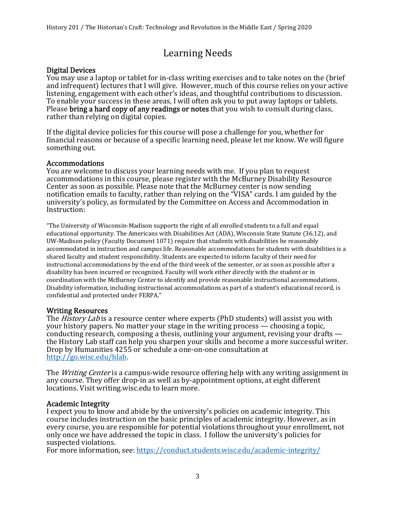# Learning Needs Digital Devices

You may use a laptop or tablet for in-class writing exercises and to take notes on the (brief and infrequent) lectures that I will give. However, much of this course relies on your active listening, engagement with each other's ideas, and thoughtful contributions to discussion. To enable your success in these areas, I will often ask you to put away laptops or tablets. Please bring a hard copy of any readings or notes that you wish to consult during class, rather than relying on digital copies.

If the digital device policies for this course will pose a challenge for you, whether for financial reasons or because of a specific learning need, please let me know. We will figure something out.

#### Accommodations

You are welcome to discuss your learning needs with me. If you plan to request accommodations in this course, please register with the McBurney Disability Resource Center as soon as possible. Please note that the McBurney center is now sending notification emails to faculty, rather than relying on the "VISA" cards. I am guided by the university's policy, as formulated by the Committee on Access and Accommodation in Instruction:

"The University of Wisconsin-Madison supports the right of all enrolled students to a full and equal educational opportunity. The Americans with Disabilities Act (ADA), Wisconsin State Statute (36.12), and UW-Madison policy (Faculty Document 1071) require that students with disabilities be reasonably accommodated in instruction and campus life. Reasonable accommodations for students with disabilities is a shared faculty and student responsibility. Students are expected to inform faculty of their need for instructional accommodations by the end of the third week of the semester, or as soon as possible after a disability has been incurred or recognized. Faculty will work either directly with the student or in coordination with the McBurney Center to identify and provide reasonable instructional accommodations. Disability information, including instructional accommodations as part of a student's educational record, is confidential and protected under FERPA."

#### Writing Resources

The *History Lab* is a resource center where experts (PhD students) will assist you with your history papers. No matter your stage in the writing process — choosing a topic, conducting research, composing a thesis, outlining your argument, revising your drafts the History Lab staff can help you sharpen your skills and become a more successful writer. Drop by Humanities 4255 or schedule a one-on-one consultation at http://go.wisc.edu/hlab.

The *Writing Center* is a campus-wide resource offering help with any writing assignment in any course. They offer drop-in as well as by-appointment options, at eight different locations. Visit writing.wisc.edu to learn more.

#### Academic Integrity

I expect you to know and abide by the university's policies on academic integrity. This course includes instruction on the basic principles of academic integrity. However, as in every course, you are responsible for potential violations throughout your enrollment, not only once we have addressed the topic in class. I follow the university's policies for suspected violations.

For more information, see: https://conduct.students.wisc.edu/academic-integrity/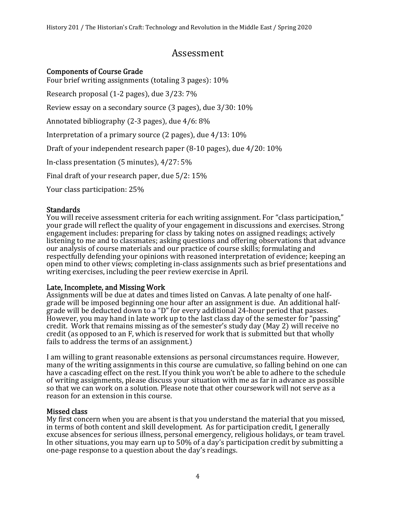# Assessment

#### Components of Course Grade

Four brief writing assignments (totaling 3 pages):  $10\%$ 

Research proposal  $(1-2)$  pages), due  $3/23: 7\%$ 

Review essay on a secondary source  $(3 \text{ pages})$ , due  $3/30: 10\%$ 

Annotated bibliography  $(2-3$  pages), due  $4/6: 8\%$ 

Interpretation of a primary source  $(2 \text{ pages})$ , due  $4/13: 10\%$ 

Draft of your independent research paper  $(8-10 \text{ pages})$ , due  $4/20: 10\%$ 

In-class presentation  $(5 \text{ minutes})$ ,  $4/27: 5\%$ 

Final draft of your research paper, due 5/2: 15%

Your class participation: 25%

#### **Standards**

You will receive assessment criteria for each writing assignment. For "class participation," your grade will reflect the quality of your engagement in discussions and exercises. Strong engagement includes: preparing for class by taking notes on assigned readings; actively listening to me and to classmates; asking questions and offering observations that advance our analysis of course materials and our practice of course skills; formulating and respectfully defending your opinions with reasoned interpretation of evidence; keeping an open mind to other views; completing in-class assignments such as brief presentations and writing exercises, including the peer review exercise in April.

#### Late, Incomplete, and Missing Work

Assignments will be due at dates and times listed on Canvas. A late penalty of one halfgrade will be imposed beginning one hour after an assignment is due. An additional halfgrade will be deducted down to a "D" for every additional 24-hour period that passes. However, you may hand in late work up to the last class day of the semester for "passing" credit. Work that remains missing as of the semester's study day (May 2) will receive no credit ሺas opposed to an F, which is reserved for work that is submitted but that wholly fails to address the terms of an assignment.)

I am willing to grant reasonable extensions as personal circumstances require. However, many of the writing assignments in this course are cumulative, so falling behind on one can have a cascading effect on the rest. If you think you won't be able to adhere to the schedule of writing assignments, please discuss your situation with me as far in advance as possible so that we can work on a solution. Please note that other coursework will not serve as a reason for an extension in this course.

#### Missed class

My first concern when you are absent is that you understand the material that you missed, in terms of both content and skill development. As for participation credit, I generally excuse absences for serious illness, personal emergency, religious holidays, or team travel. In other situations, you may earn up to 50% of a day's participation credit by submitting a one-page response to a question about the day's readings.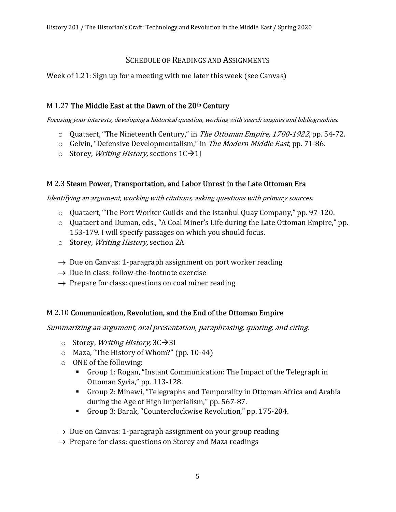# SCHEDULE OF READINGS AND ASSIGNMENTS

Week of 1.21: Sign up for a meeting with me later this week (see Canvas)

# M 1.27 The Middle East at the Dawn of the  $20<sup>th</sup>$  Century

Focusing your interests, developing a historical question, working with search engines and bibliographies.

- $\circ$  Quataert, "The Nineteenth Century," in *The Ottoman Empire, 1700-1922*, pp. 54-72.
- o Gelvin, "Defensive Developmentalism," in The Modern Middle East, pp. 71-86.
- o Storey, *Writing History*, sections  $1C\rightarrow1$

# M 2.3 Steam Power, Transportation, and Labor Unrest in the Late Ottoman Era

Identifying an argument, working with citations, asking questions with primary sources.

- $\circ$  Quataert, "The Port Worker Guilds and the Istanbul Quay Company," pp. 97-120.
- o Quataert and Duman, eds., "A Coal Miner's Life during the Late Ottoman Empire," pp. 153-179. I will specify passages on which you should focus.
- o Storey, Writing History, section 2A
- $\rightarrow$  Due on Canvas: 1-paragraph assignment on port worker reading
- $\rightarrow$  Due in class: follow-the-footnote exercise
- $\rightarrow$  Prepare for class: questions on coal miner reading

# M 2.10 Communication, Revolution, and the End of the Ottoman Empire

Summarizing an argument, oral presentation, paraphrasing, quoting, and citing.

- o Storey, *Writing History*,  $3C\rightarrow3I$
- $\circ$  Maza, "The History of Whom?" (pp. 10-44)
- o ONE of the following:
	- Group 1: Rogan, "Instant Communication: The Impact of the Telegraph in Ottoman Syria," pp. 113-128.
	- Group 2: Minawi, "Telegraphs and Temporality in Ottoman Africa and Arabia during the Age of High Imperialism," pp. 567-87.
	- Group 3: Barak, "Counterclockwise Revolution," pp. 175-204.
- $\rightarrow$  Due on Canvas: 1-paragraph assignment on your group reading
- $\rightarrow$  Prepare for class: questions on Storey and Maza readings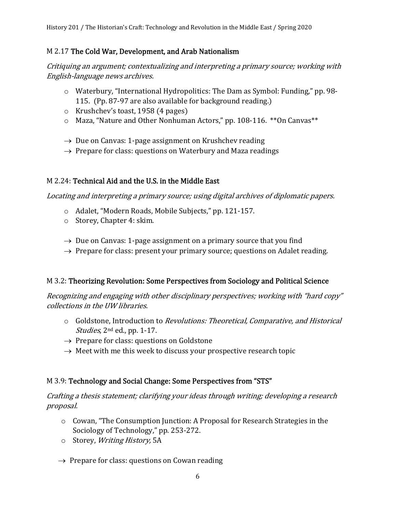History 201 / The Historian's Craft: Technology and Revolution in the Middle East / Spring 2020

#### M 2.17 The Cold War, Development, and Arab Nationalism

Critiquing an argument; contextualizing and interpreting a primary source; working with English-language news archives.

- o Waterbury, "International Hydropolitics: The Dam as Symbol: Funding," pp. 98- 115. (Pp. 87-97 are also available for background reading.)
- o Krushchev's toast, 1958  $(4 \text{ pages})$
- o Maza, "Nature and Other Nonhuman Actors," pp. 108-116. \*\*On Canvas\*\*
- $\rightarrow$  Due on Canvas: 1-page assignment on Krushchev reading
- $\rightarrow$  Prepare for class: questions on Waterbury and Maza readings

# M 2.24: Technical Aid and the U.S. in the Middle East

Locating and interpreting a primary source; using digital archives of diplomatic papers.

- o Adalet, "Modern Roads, Mobile Subjects," pp. 121-157.
- o Storey, Chapter 4: skim.
- $\rightarrow$  Due on Canvas: 1-page assignment on a primary source that you find
- $\rightarrow$  Prepare for class: present your primary source; questions on Adalet reading.

# M 3.2: Theorizing Revolution: Some Perspectives from Sociology and Political Science

Recognizing and engaging with other disciplinary perspectives; working with "hard copy" collections in the UW libraries.

- o Goldstone, Introduction to Revolutions: Theoretical, Comparative, and Historical Studies, 2<sup>nd</sup> ed., pp. 1-17.
- $\rightarrow$  Prepare for class: questions on Goldstone
- $\rightarrow$  Meet with me this week to discuss your prospective research topic

# M 3.9: Technology and Social Change: Some Perspectives from "STS"

Crafting a thesis statement; clarifying your ideas through writing; developing a research proposal.

- o Cowan, "The Consumption Junction: A Proposal for Research Strategies in the Sociology of Technology," pp. 253-272.
- o Storey, Writing History, 5A
- $\rightarrow$  Prepare for class: questions on Cowan reading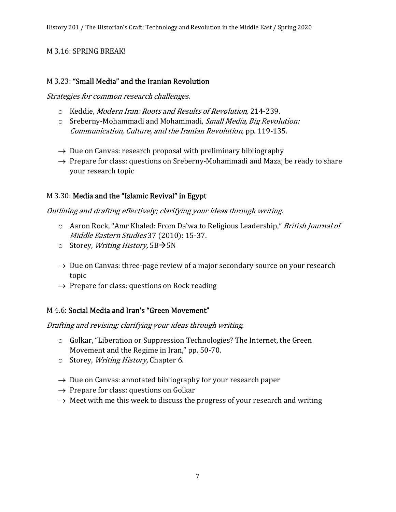# M 3.16: SPRING BREAK!

#### M 3.23: "Small Media" and the Iranian Revolution

Strategies for common research challenges.

- o Keddie, Modern Iran: Roots and Results of Revolution, 214-239.
- o Sreberny-Mohammadi and Mohammadi, Small Media, Big Revolution: Communication, Culture, and the Iranian Revolution, pp. 119-135.
- $\rightarrow$  Due on Canvas: research proposal with preliminary bibliography
- $\rightarrow$  Prepare for class: questions on Sreberny-Mohammadi and Maza; be ready to share your research topic

#### M 3.30: Media and the "Islamic Revival" in Egypt

#### Outlining and drafting effectively; clarifying your ideas through writing.

- o Aaron Rock, "Amr Khaled: From Daʿwa to Religious Leadership," British Journal of Middle Eastern Studies 37 (2010): 15-37.
- o Storey, *Writing History*,  $5B\rightarrow5N$
- $\rightarrow$  Due on Canvas: three-page review of a major secondary source on your research topic
- $\rightarrow$  Prepare for class: questions on Rock reading

#### M 4.6: Social Media and Iran's "Green Movement"

Drafting and revising; clarifying your ideas through writing.

- o Golkar, "Liberation or Suppression Technologies? The Internet, the Green Movement and the Regime in Iran," pp. 50-70.
- o Storey, *Writing History*, Chapter 6.
- $\rightarrow$  Due on Canvas: annotated bibliography for your research paper
- $\rightarrow$  Prepare for class: questions on Golkar
- $\rightarrow$  Meet with me this week to discuss the progress of your research and writing